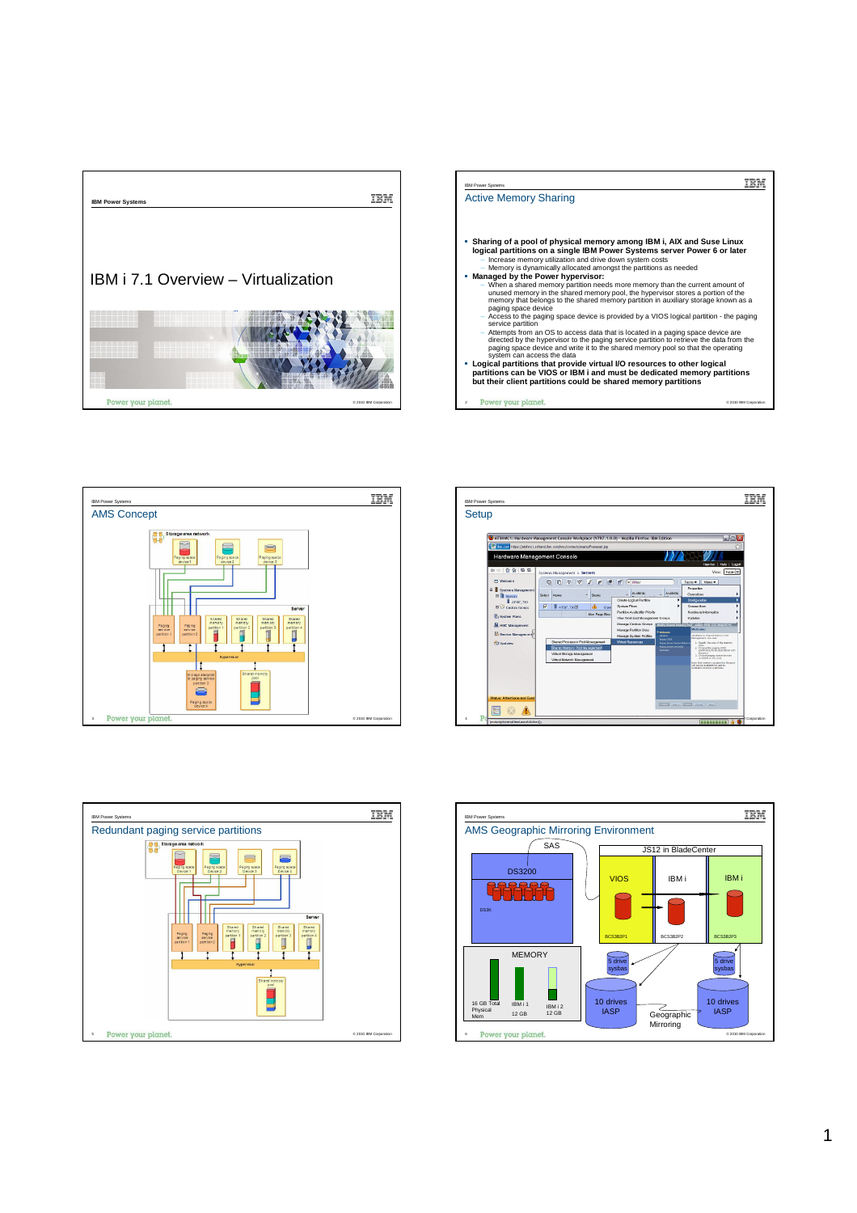









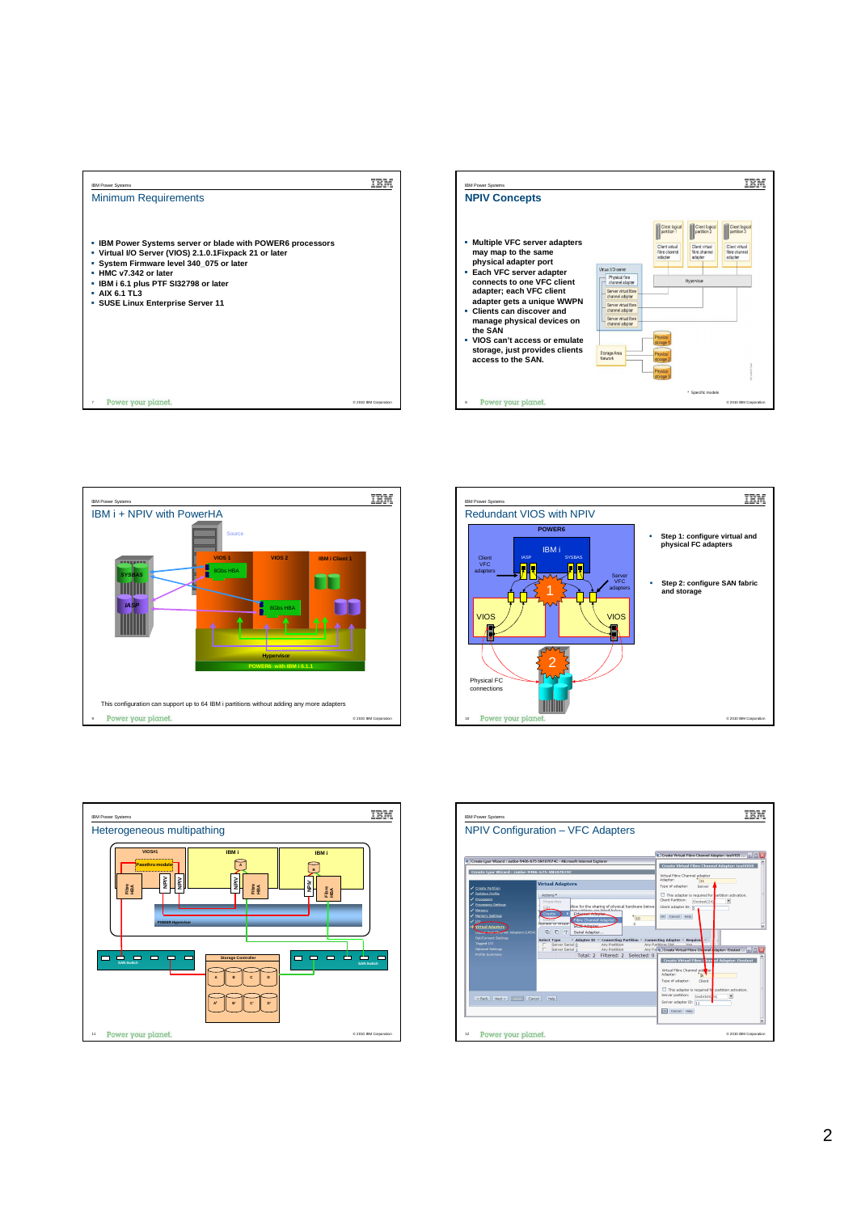